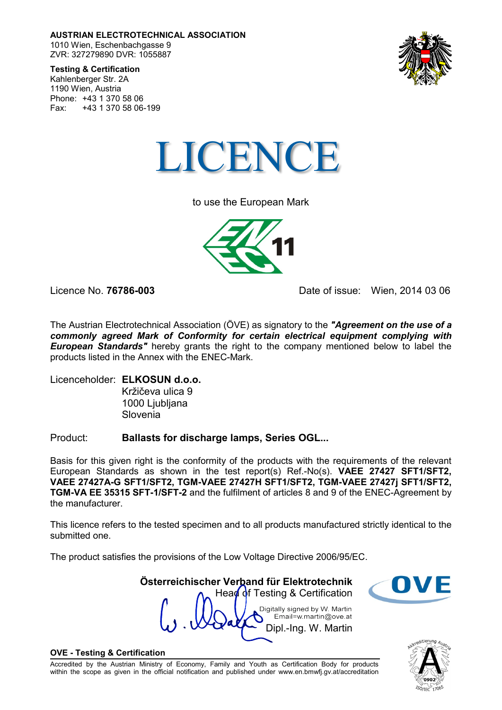**AUSTRIAN ELECTROTECHNICAL ASSOCIATION** 1010 Wien, Eschenbachgasse 9 ZVR: 327279890 DVR: 1055887



**Testing & Certification**

Kahlenberger Str. 2A 1190 Wien, Austria Phone: +43 1 370 58 06 Fax: +43 1 370 58 06-199



to use the European Mark



Licence No. **76786-003** Date of issue: Wien, 2014 03 06

The Austrian Electrotechnical Association (ÖVE) as signatory to the *"Agreement on the use of a commonly agreed Mark of Conformity for certain electrical equipment complying with European Standards* hereby grants the right to the company mentioned below to label the products listed in the Annex with the ENEC-Mark.

Licenceholder: **ELKOSUN d.o.o.** Kržičeva ulica 9 1000 Ljubljana Slovenia

Product: **Ballasts for discharge lamps, Series OGL...**

Basis for this given right is the conformity of the products with the requirements of the relevant European Standards as shown in the test report(s) Ref.-No(s). **VAEE 27427 SFT1/SFT2, VAEE 27427A-G SFT1/SFT2, TGM-VAEE 27427H SFT1/SFT2, TGM-VAEE 27427j SFT1/SFT2, TGM-VA EE 35315 SFT-1/SFT-2** and the fulfilment of articles 8 and 9 of the ENEC-Agreement by the manufacturer.

This licence refers to the tested specimen and to all products manufactured strictly identical to the submitted one.

**Österreichischer Verband für Elektrotechnik**

The product satisfies the provisions of the Low Voltage Directive 2006/95/EC.

Head of Testing & Certification Digitally signed by W. Martin Email=w.martin@ove.at Dipl.-Ing. W. Martin

## **OVE - Testing & Certification**

Accredited by the Austrian Ministry of Economy, Family and Youth as Certification Body for products within the scope as given in the official notification and published under www.en.bmwfj.gv.at/accreditation

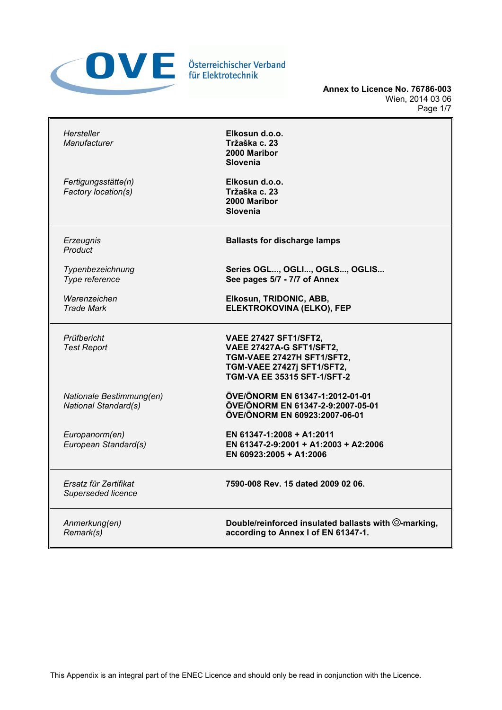

**Annex to Licence No. 76786-003** Wien, 2014 03 06 Page 1/7

| Hersteller<br>Manufacturer                              | Elkosun d.o.o.<br>Tržaška c. 23<br>2000 Maribor<br><b>Slovenia</b>                                                                                  |
|---------------------------------------------------------|-----------------------------------------------------------------------------------------------------------------------------------------------------|
| Fertigungsstätte(n)<br>Factory location(s)              | Elkosun d.o.o.<br>Tržaška c. 23<br>2000 Maribor<br><b>Slovenia</b>                                                                                  |
| Erzeugnis<br>Product                                    | <b>Ballasts for discharge lamps</b>                                                                                                                 |
| Typenbezeichnung<br>Type reference                      | Series OGL, OGLI, OGLS, OGLIS<br>See pages 5/7 - 7/7 of Annex                                                                                       |
| Warenzeichen<br><b>Trade Mark</b>                       | Elkosun, TRIDONIC, ABB,<br>ELEKTROKOVINA (ELKO), FEP                                                                                                |
| Prüfbericht<br><b>Test Report</b>                       | <b>VAEE 27427 SFT1/SFT2,</b><br>VAEE 27427A-G SFT1/SFT2,<br>TGM-VAEE 27427H SFT1/SFT2,<br>TGM-VAEE 27427j SFT1/SFT2,<br>TGM-VA EE 35315 SFT-1/SFT-2 |
| Nationale Bestimmung(en)<br><b>National Standard(s)</b> | ÖVE/ÖNORM EN 61347-1:2012-01-01<br>ÖVE/ÖNORM EN 61347-2-9:2007-05-01<br>ÖVE/ÖNORM EN 60923:2007-06-01                                               |
| Europanorm(en)<br>European Standard(s)                  | EN 61347-1:2008 + A1:2011<br>EN 61347-2-9:2001 + A1:2003 + A2:2006<br>EN 60923:2005 + A1:2006                                                       |
| Ersatz für Zertifikat<br>Superseded licence             | 7590-008 Rev. 15 dated 2009 02 06.                                                                                                                  |
| Anmerkung(en)<br>Remark(s)                              | Double/reinforced insulated ballasts with ©-marking,<br>according to Annex I of EN 61347-1.                                                         |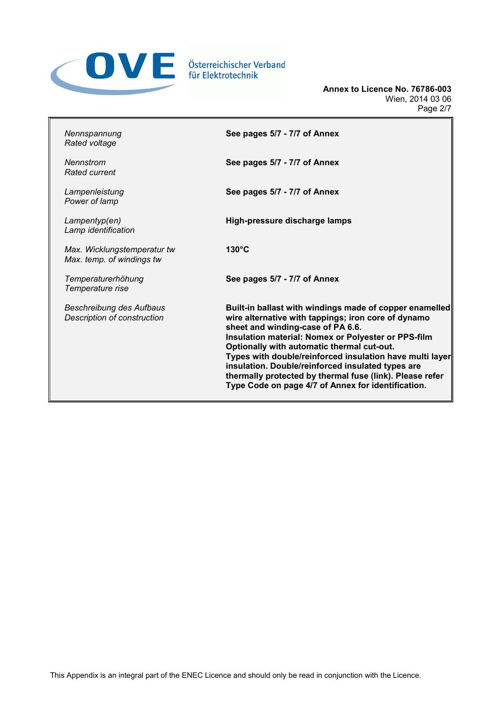

**Annex to Licence No. 76786-003** Wien, 2014 03 06 Page 2/7

| Nennspannung<br>Rated voltage                            | See pages 5/7 - 7/7 of Annex                                                                                                                                                                                                                                                                                                                                                                                                                                                                |
|----------------------------------------------------------|---------------------------------------------------------------------------------------------------------------------------------------------------------------------------------------------------------------------------------------------------------------------------------------------------------------------------------------------------------------------------------------------------------------------------------------------------------------------------------------------|
| Nennstrom<br>Rated current                               | See pages 5/7 - 7/7 of Annex                                                                                                                                                                                                                                                                                                                                                                                                                                                                |
| Lampenleistung<br>Power of lamp                          | See pages 5/7 - 7/7 of Annex                                                                                                                                                                                                                                                                                                                                                                                                                                                                |
| Lampentyp(en)<br>Lamp identification                     | High-pressure discharge lamps                                                                                                                                                                                                                                                                                                                                                                                                                                                               |
| Max. Wicklungstemperatur tw<br>Max. temp. of windings tw | $130^{\circ}$ C                                                                                                                                                                                                                                                                                                                                                                                                                                                                             |
| Temperaturerhöhung<br>Temperature rise                   | See pages 5/7 - 7/7 of Annex                                                                                                                                                                                                                                                                                                                                                                                                                                                                |
| Beschreibung des Aufbaus<br>Description of construction  | Built-in ballast with windings made of copper enamelled<br>wire alternative with tappings; iron core of dynamo<br>sheet and winding-case of PA 6.6.<br>Insulation material: Nomex or Polyester or PPS-film<br>Optionally with automatic thermal cut-out.<br>Types with double/reinforced insulation have multi layer<br>insulation. Double/reinforced insulated types are<br>thermally protected by thermal fuse (link). Please refer<br>Type Code on page 4/7 of Annex for identification. |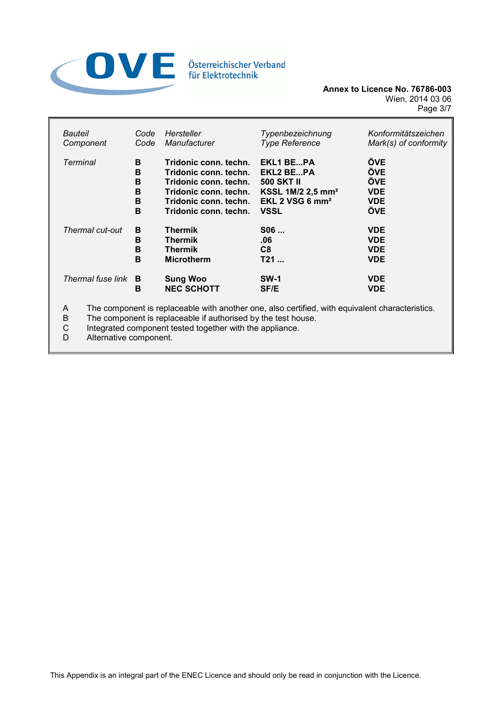

| Bauteil                    | Code | Hersteller                           | Typenbezeichnung              | Konformitätszeichen      |
|----------------------------|------|--------------------------------------|-------------------------------|--------------------------|
| Component                  | Code | Manufacturer                         | <b>Type Reference</b>         | Mark(s) of conformity    |
| Terminal                   | B    | Tridonic conn. techn.                | <b>EKL1 BEPA</b>              | <b>ÖVE</b>               |
|                            | B    | Tridonic conn. techn.                | EKL2 BEPA                     | <b>ÖVE</b>               |
|                            | B    | Tridonic conn. techn.                | <b>500 SKT II</b>             | ÖVE                      |
|                            | B    | Tridonic conn. techn.                | KSSL 1M/2 2,5 mm <sup>2</sup> | <b>VDE</b>               |
|                            | B    | Tridonic conn. techn.                | EKL 2 VSG 6 $mm2$             | <b>VDE</b>               |
|                            | B    | Tridonic conn. techn.                | <b>VSSL</b>                   | ÖVE                      |
| Thermal cut-out            | В    | <b>Thermik</b>                       | S06                           | <b>VDE</b>               |
|                            | B    | <b>Thermik</b>                       | .06                           | <b>VDE</b>               |
|                            | B    | <b>Thermik</b>                       | C <sub>8</sub>                | <b>VDE</b>               |
|                            | B    | <b>Microtherm</b>                    | T21                           | <b>VDE</b>               |
| Thermal fuse link <b>B</b> | в    | <b>Sung Woo</b><br><b>NEC SCHOTT</b> | <b>SW-1</b><br><b>SF/E</b>    | <b>VDE</b><br><b>VDE</b> |

A The component is replaceable with another one, also certified, with equivalent characteristics.<br>B The component is replaceable if authorised by the test house.

B The component is replaceable if authorised by the test house.<br>C Integrated component tested together with the appliance.

C Integrated component tested together with the appliance.<br>D Alternative component.

Alternative component.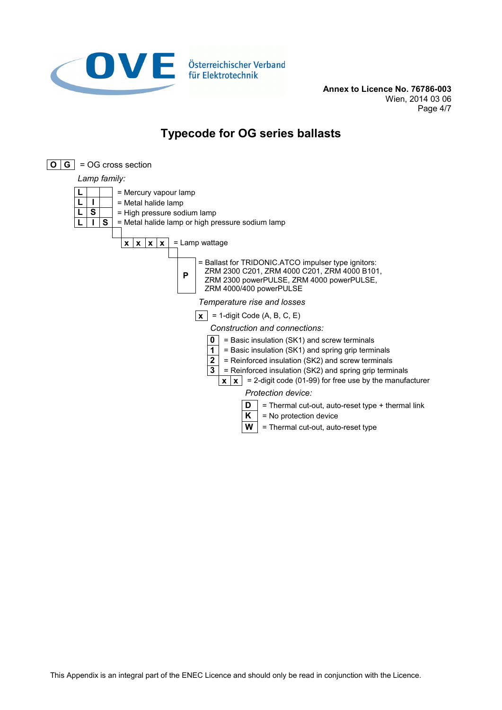

**Annex to Licence No. 76786-003** Wien, 2014 03 06 Page 4/7

## **Typecode for OG series ballasts**

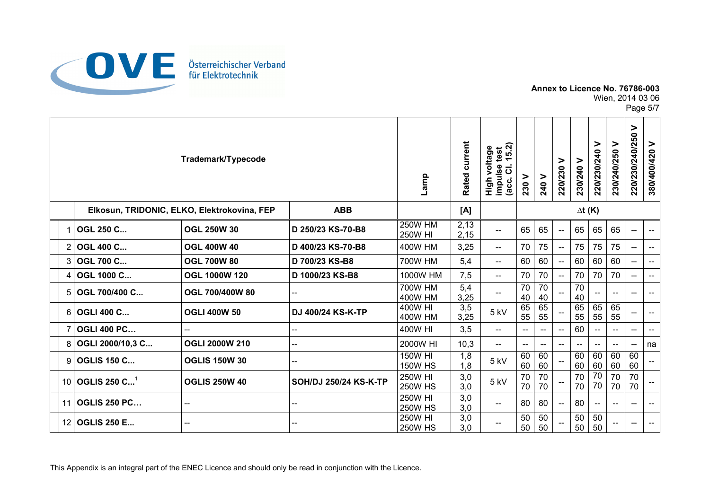

Wien, 2014 03 06

Page 5/7

|                |                                 | Trademark/Typecode                          |                       | Lamp                             | current<br>Rated | ์จ<br>voltage<br>test<br>ທ່<br>$\overline{ }$<br>impulse<br>$\overline{\textbf{c}}$<br><b>High</b><br>(acc. | 230 V                               | 240 V                    | ><br>220/230             | ><br>230/240 | ⋗<br>220/230/240         | 230/240/250 V            | $\geq$<br>220/230/240/250 | ><br>380/400/420                    |
|----------------|---------------------------------|---------------------------------------------|-----------------------|----------------------------------|------------------|-------------------------------------------------------------------------------------------------------------|-------------------------------------|--------------------------|--------------------------|--------------|--------------------------|--------------------------|---------------------------|-------------------------------------|
|                |                                 | Elkosun, TRIDONIC, ELKO, Elektrokovina, FEP | <b>ABB</b>            |                                  | [A]              |                                                                                                             |                                     |                          | $\Delta t$ (K)           |              |                          |                          |                           |                                     |
| 1              | <b>OGL 250 C</b>                | <b>OGL 250W 30</b>                          | D 250/23 KS-70-B8     | <b>250W HM</b><br><b>250W HI</b> | 2,13<br>2,15     | $\overline{a}$                                                                                              | 65                                  | 65                       | $\overline{\phantom{a}}$ | 65           | 65                       | 65                       | $\overline{\phantom{a}}$  | $\overline{a}$                      |
| $\overline{2}$ | <b>OGL 400 C</b>                | <b>OGL 400W 40</b>                          | D 400/23 KS-70-B8     | <b>400W HM</b>                   | 3,25             | $\overline{\phantom{a}}$                                                                                    | 70                                  | 75                       | $\overline{\phantom{a}}$ | 75           | 75                       | 75                       | $\overline{\phantom{a}}$  | $\overline{\phantom{a}}$            |
| 3              | <b>OGL 700 C</b>                | <b>OGL 700W 80</b>                          | D 700/23 KS-B8        | 700W HM                          | 5,4              | $\hspace{0.05cm}$ – $\hspace{0.05cm}$                                                                       | 60                                  | 60                       | $\overline{\phantom{a}}$ | 60           | 60                       | 60                       | $\overline{\phantom{a}}$  | $\overline{\phantom{a}}$            |
| 4              | OGL 1000 C                      | <b>OGL 1000W 120</b>                        | D 1000/23 KS-B8       | 1000W HM                         | 7,5              | $--$                                                                                                        | 70                                  | 70                       | $\overline{\phantom{a}}$ | 70           | 70                       | 70                       | $\overline{\phantom{a}}$  | $\overline{\phantom{a}}$            |
| 5              | OGL 700/400 C                   | OGL 700/400W 80                             | --                    | 700W HM<br><b>400W HM</b>        | 5,4<br>3,25      |                                                                                                             | 70<br>40                            | 70<br>40                 |                          | 70<br>40     |                          | $\overline{\phantom{a}}$ | $-\!$                     | $-\!$                               |
| 6              | <b>OGLI 400 C</b>               | <b>OGLI 400W 50</b>                         | DJ 400/24 KS-K-TP     | 400W HI<br><b>400W HM</b>        | 3,5<br>3,25      | 5 kV                                                                                                        | 65<br>55                            | 65<br>55                 |                          | 65<br>55     | 65<br>55                 | 65<br>55                 | $-$                       | $\overline{\phantom{a}}$            |
| $\overline{7}$ | <b>OGLI 400 PC</b>              | --                                          | --                    | 400W HI                          | 3,5              | $--$                                                                                                        | $\hspace{0.05cm}$ $\hspace{0.05cm}$ | $\overline{a}$           | $\overline{\phantom{a}}$ | 60           |                          | $\overline{a}$           | $\overline{\phantom{a}}$  | $\hspace{0.05cm}$ $\hspace{0.05cm}$ |
| 8              | OGLI 2000/10,3 C                | <b>OGLI 2000W 210</b>                       | --                    | 2000W HI                         | 10,3             | --                                                                                                          |                                     | $\overline{\phantom{a}}$ | $\overline{\phantom{a}}$ |              |                          | $\overline{\phantom{a}}$ | $\overline{\phantom{a}}$  | na                                  |
| 9              | <b>OGLIS 150 C</b>              | <b>OGLIS 150W 30</b>                        | --                    | 150W HI<br><b>150W HS</b>        | 1,8<br>1,8       | 5 kV                                                                                                        | 60<br>60                            | 60<br>60                 |                          | 60<br>60     | 60<br>60                 | 60<br>60                 | 60<br>60                  |                                     |
| 10             | <b>OGLIS 250 C</b> <sup>1</sup> | <b>OGLIS 250W 40</b>                        | SOH/DJ 250/24 KS-K-TP | 250W HI<br><b>250W HS</b>        | 3,0<br>3,0       | 5 kV                                                                                                        | 70<br>70                            | 70<br>70                 |                          | 70<br>70     | 70<br>70                 | 70<br>70                 | 70<br>70                  |                                     |
| 11             | <b>OGLIS 250 PC</b>             | --                                          | --                    | <b>250W HI</b><br><b>250W HS</b> | 3,0<br>3,0       | $\hspace{0.05cm}$ – $\hspace{0.05cm}$                                                                       | 80                                  | 80                       | $\overline{\phantom{a}}$ | 80           | $\overline{\phantom{a}}$ | $\hspace{0.05cm} \ldots$ | $-\!$                     | $\hspace{0.05cm} \textbf{--}$       |
| 12             | <b>OGLIS 250 E</b>              | --                                          |                       | <b>250W HI</b><br><b>250W HS</b> | 3,0<br>3,0       |                                                                                                             | 50<br>50                            | 50<br>50                 |                          | 50<br>50     | 50<br>50                 |                          | $\overline{\phantom{a}}$  | $\overline{\phantom{a}}$            |

This Appendix is an integral part of the ENEC Licence and should only be read in conjunction with the Licence.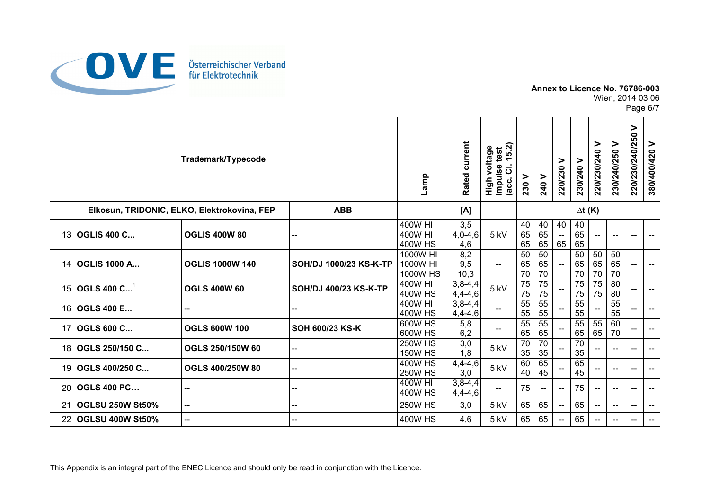

Wien, 2014 03 06

Page 6/7

|    |                         | Trademark/Typecode                          |                        | Lamp                                 | current<br>Rated        | ์จ<br>voltage<br>test<br>$\frac{1}{5}$<br>impulse 1<br>(acc. Cl.<br>$\frac{5}{10}$ | 230 V                 | 240 V                       | ⋗<br>220/230                         | ><br>230/240          | ⋗<br>220/230/240         | ⋗<br>230/240/250                    | ><br>220/230/240/250     | ><br>380/400/420                               |
|----|-------------------------|---------------------------------------------|------------------------|--------------------------------------|-------------------------|------------------------------------------------------------------------------------|-----------------------|-----------------------------|--------------------------------------|-----------------------|--------------------------|-------------------------------------|--------------------------|------------------------------------------------|
|    |                         | Elkosun, TRIDONIC, ELKO, Elektrokovina, FEP | <b>ABB</b>             |                                      | [A]                     |                                                                                    |                       |                             |                                      | $\Delta t$ (K)        |                          |                                     |                          |                                                |
|    | 13 OGLIS 400 C          | <b>OGLIS 400W 80</b>                        |                        | 400W HI<br>400W HI<br><b>400W HS</b> | 3,5<br>$4,0-4,6$<br>4,6 | 5 <sub>kV</sub>                                                                    | 40<br>65<br>65        | 40<br>65<br>65              | 40<br>$\overline{\phantom{a}}$<br>65 | 40<br>65<br>65        |                          | $\overline{\phantom{a}}$            | $\overline{\phantom{a}}$ | $\hspace{0.05cm}$ – $\hspace{0.05cm}$          |
|    | 14 OGLIS 1000 A         | <b>OGLIS 1000W 140</b>                      | SOH/DJ 1000/23 KS-K-TP | 1000W HI<br>1000W HI<br>1000W HS     | 8,2<br>9,5<br>10,3      | $\overline{\phantom{a}}$                                                           | 50<br>65<br>70        | $\overline{50}$<br>65<br>70 | $\overline{\phantom{a}}$             | 50<br>65<br>70        | 50<br>65<br>70           | 50<br>65<br>70                      | --                       | $\overline{\phantom{a}}$                       |
| 15 | OGLS 400 $C^1$          | <b>OGLS 400W 60</b>                         | SOH/DJ 400/23 KS-K-TP  | 400W HI<br><b>400W HS</b>            | $3,8-4,4$<br>$4,4-4,6$  | 5 kV                                                                               | $\overline{75}$<br>75 | $\overline{75}$<br>75       |                                      | 75<br>75              | 75<br>75                 | 80<br>80                            | $\overline{\phantom{a}}$ | $\overline{\phantom{a}}$                       |
| 16 | <b>OGLS 400 E</b>       |                                             |                        | 400W HI<br><b>400W HS</b>            | $3,8-4,4$<br>$4,4-4,6$  |                                                                                    | 55<br>55              | 55<br>55                    |                                      | 55<br>55              |                          | 55<br>55                            |                          | $\overline{\phantom{a}}$                       |
| 17 | <b>OGLS 600 C</b>       | <b>OGLS 600W 100</b>                        | SOH 600/23 KS-K        | 600W HS<br>600W HS                   | 5,8<br>6,2              |                                                                                    | 55<br>65              | $\overline{55}$<br>65       |                                      | $\overline{55}$<br>65 | 55<br>65                 | 60<br>70                            | $\overline{\phantom{a}}$ | $\overline{\phantom{a}}$                       |
| 18 | OGLS 250/150 C          | OGLS 250/150W 60                            |                        | <b>250W HS</b><br><b>150W HS</b>     | 3,0<br>1,8              | 5 kV                                                                               | 70<br>35              | 70<br>35                    |                                      | 70<br>35              |                          | $- -$                               | $\overline{\phantom{a}}$ | $\overline{\phantom{a}}$                       |
| 19 | OGLS 400/250 C          | <b>OGLS 400/250W 80</b>                     | --                     | <b>400W HS</b><br><b>250W HS</b>     | $4,4-4,6$<br>3,0        | 5 <sub>kV</sub>                                                                    | 60<br>40              | 65<br>45                    |                                      | 65<br>45              |                          | $\hspace{0.05cm}$ $\hspace{0.05cm}$ | $\overline{\phantom{a}}$ | $\overline{\phantom{a}}$                       |
| 20 | <b>OGLS 400 PC</b>      | --                                          | --                     | 400W HI<br><b>400W HS</b>            | $3,8-4,4$<br>4,4-4,6    | $\overline{\phantom{a}}$                                                           | 75                    | $\overline{\phantom{a}}$    | $\overline{\phantom{a}}$             | 75                    | $\hspace{0.05cm}$        | $- -$                               | $\overline{\phantom{a}}$ | $\hspace{0.05cm}$                              |
| 21 | <b>OGLSU 250W St50%</b> | ш,                                          | --                     | <b>250W HS</b>                       | 3,0                     | $5$ kV                                                                             | 65                    | 65                          | $\overline{\phantom{a}}$             | 65                    | $- -$                    | $\overline{\phantom{a}}$            | $- -$                    | $\overline{\phantom{a}}$                       |
| 22 | <b>OGLSU 400W St50%</b> |                                             |                        | 400W HS                              | 4,6                     | 5 kV                                                                               | 65                    | 65                          | $\overline{\phantom{a}}$             | 65                    | $\overline{\phantom{a}}$ | --                                  | $\overline{\phantom{a}}$ | $\hspace{0.1mm}-\hspace{0.1mm}-\hspace{0.1mm}$ |